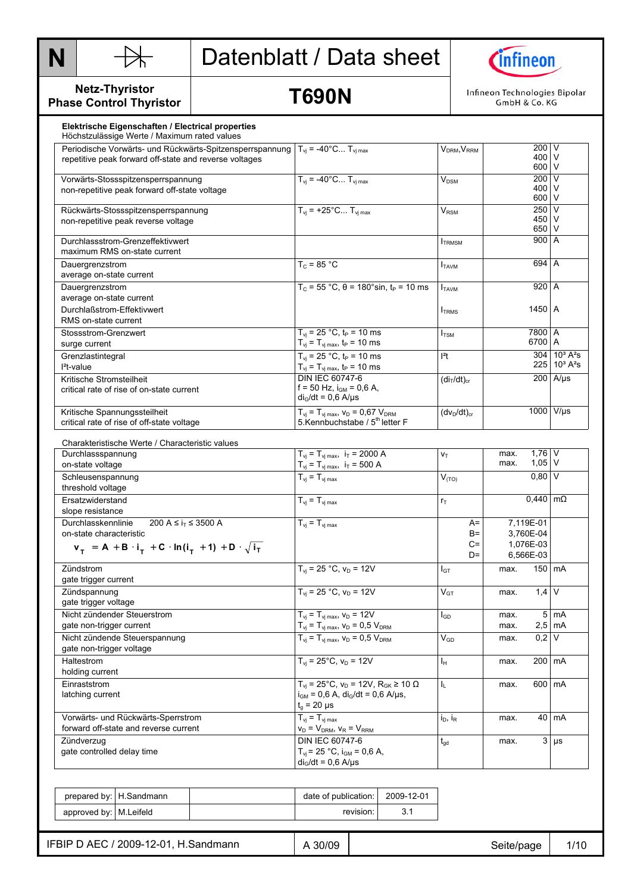



**Netz-Thyristor Phase Control Thyristor** 

**T690N** 

Infineon Technologies Bipolar GmbH & Co. KG

| Elektrische Eigenschaften / Electrical properties<br>Höchstzulässige Werte / Maximum rated values                                                                      |                                                                                                                                       |                                     |                                                  |                                                                         |
|------------------------------------------------------------------------------------------------------------------------------------------------------------------------|---------------------------------------------------------------------------------------------------------------------------------------|-------------------------------------|--------------------------------------------------|-------------------------------------------------------------------------|
| Periodische Vorwärts- und Rückwärts-Spitzensperrspannung<br>repetitive peak forward off-state and reverse voltages                                                     | $T_{vi}$ = -40°C $T_{vi \, max}$                                                                                                      | V <sub>DRM</sub> , V <sub>RRM</sub> | 200 V<br>400 V<br>600 V                          |                                                                         |
| Vorwärts-Stossspitzensperrspannung<br>non-repetitive peak forward off-state voltage                                                                                    | $T_{vi}$ = -40°C $T_{vi max}$                                                                                                         | $V_{DSM}$                           | 200 $\overline{V}$<br>400 V<br>600 V             |                                                                         |
| Rückwärts-Stossspitzensperrspannung<br>non-repetitive peak reverse voltage                                                                                             | $T_{vi}$ = +25°C $T_{vi}$ max                                                                                                         | <b>V<sub>RSM</sub></b>              | 250 V<br>450<br>650 V                            | V                                                                       |
| Durchlassstrom-Grenzeffektivwert<br>maximum RMS on-state current                                                                                                       |                                                                                                                                       | $I_{TRMSM}$                         | 900 A                                            |                                                                         |
| Dauergrenzstrom<br>average on-state current                                                                                                                            | $T_c = 85 °C$                                                                                                                         | $I_{TAVM}$                          | 694 A                                            |                                                                         |
| Dauergrenzstrom<br>average on-state current                                                                                                                            | $T_c = 55 °C$ , θ = 180°sin, t <sub>P</sub> = 10 ms                                                                                   | <b>I</b> TAVM                       | 920 A                                            |                                                                         |
| Durchlaßstrom-Effektivwert<br>RMS on-state current                                                                                                                     |                                                                                                                                       | <b>I</b> TRMS                       | 1450   A                                         |                                                                         |
| Stossstrom-Grenzwert<br>surge current                                                                                                                                  | $T_{vi}$ = 25 °C, $t_P$ = 10 ms<br>$T_{\rm vj} = T_{\rm vj \, max}$ , t <sub>P</sub> = 10 ms                                          | $I_{\text{TSM}}$                    | 7800 A<br>6700 A                                 |                                                                         |
| Grenzlastintegral<br>$l^2$ t-value                                                                                                                                     | $T_{vi}$ = 25 °C, $t_P$ = 10 ms<br>$T_{vj} = T_{vj \, max}$ , $t_P = 10 \, ms$                                                        | $l^2t$                              |                                                  | $304 \ 10^3 \text{ A}^2\text{s}$<br>$225 \mid 10^3 \text{ A}^2\text{s}$ |
| Kritische Stromsteilheit<br>critical rate of rise of on-state current                                                                                                  | <b>DIN IEC 60747-6</b><br>$f = 50$ Hz, $i_{GM} = 0.6$ A,<br>$di_G/dt = 0.6$ A/ $\mu$ s                                                | (di <sub>T</sub> /dt) <sub>cr</sub> |                                                  | $200$ A/us                                                              |
| Kritische Spannungssteilheit<br>critical rate of rise of off-state voltage                                                                                             | $T_{\rm vj} = T_{\rm vj \, max}$ , $V_{\rm D} = 0.67$ $V_{\rm DRM}$<br>5. Kennbuchstabe / 5 <sup>th</sup> letter F                    | $(dv_D/dt)_{cr}$                    |                                                  | 1000 V/µs                                                               |
| Charakteristische Werte / Characteristic values                                                                                                                        |                                                                                                                                       |                                     |                                                  |                                                                         |
| Durchlassspannung<br>on-state voltage                                                                                                                                  | $T_{\rm vj} = T_{\rm vj \, max}, \, i_{\rm T} = 2000 \, \text{A}$<br>$T_{\rm vj} = T_{\rm vj \, max}, \, i_{\rm T} = 500 \, \text{A}$ | V <sub>T</sub>                      | $1,76$ V<br>max.<br>$1,05$ V<br>max.             |                                                                         |
| Schleusenspannung<br>threshold voltage                                                                                                                                 | $T_{\rm vj} = T_{\rm vj \, max}$                                                                                                      | V <sub>(TO)</sub>                   | $0,80$ V                                         |                                                                         |
| Ersatzwiderstand<br>slope resistance                                                                                                                                   | $T_{\rm vj} = T_{\rm vj \, max}$                                                                                                      | $r_{\text{T}}$                      | $0,440$ m $\Omega$                               |                                                                         |
| Durchlasskennlinie<br>200 A ≤ i <sub>T</sub> ≤ 3500 A<br>on-state characteristic<br>$v_{T}$ = A + B · i <sub>T</sub> + C · ln(i <sub>T</sub> + 1) + D · $\sqrt{i_{T}}$ | $T_{\rm vj} = T_{\rm vj \, max}$                                                                                                      | $A=$<br>$B=$<br>$C =$<br>$D=$       | 7,119E-01<br>3,760E-04<br>1,076E-03<br>6,566E-03 |                                                                         |
| Zündstrom<br>gate trigger current                                                                                                                                      | $T_{vi}$ = 25 °C, $V_D$ = 12V                                                                                                         | $I_{GT}$                            | max.                                             | 150 mA                                                                  |
| Zündspannung<br>gate trigger voltage                                                                                                                                   | $T_{\rm vj}$ = 25 °C, $\overline{v_{\rm D}}$ = 12V                                                                                    | $V_{GT}$                            | $1.4$ V<br>max.                                  |                                                                         |
| Nicht zündender Steuerstrom<br>gate non-trigger current                                                                                                                | $T_{vi} = T_{vi \, max}$ , $V_D = 12V$<br>$T_{vi} = T_{vi \, max}$ , $V_D = 0.5 V_{DRM}$                                              | $I_{GD}$                            | max.<br>max.                                     | $5 \text{ mA}$<br>$2,5$ mA                                              |
| Nicht zündende Steuerspannung<br>gate non-trigger voltage                                                                                                              | $T_{vi} = T_{vi \, max}$ , $V_D = 0.5 V_{DRM}$                                                                                        | $V_{GD}$                            | 0,2<br>max.                                      | V                                                                       |
| Haltestrom<br>holding current                                                                                                                                          | $T_{vi}$ = 25°C, $v_D$ = 12V                                                                                                          | $\mathsf{I}_{\mathsf{H}}$           | 200 mA<br>max.                                   |                                                                         |
| Einraststrom<br>latching current                                                                                                                                       | $T_{vi}$ = 25°C, $v_D$ = 12V, $R_{GK}$ ≥ 10 $\Omega$<br>$i_{GM} = 0.6$ A, $di_G/dt = 0.6$ A/µs,<br>$t_g = 20 \mu s$                   | $\mathsf{I}_{\mathsf{L}}$           | max.                                             | 600 mA                                                                  |
| Vorwärts- und Rückwärts-Sperrstrom<br>forward off-state and reverse current                                                                                            | $T_{vi} = T_{vi \, max}$<br>$v_D = V_{DRM}$ , $v_R = V_{RRM}$                                                                         | $i_D$ , $i_R$                       | max.                                             | 40 mA                                                                   |
| Zündverzug<br>gate controlled delay time                                                                                                                               | DIN IEC 60747-6<br>$T_{vi}$ = 25 °C, $i_{GM}$ = 0,6 A,<br>$di_G/dt = 0.6$ A/ $\mu$ s                                                  | $t_{gd}$                            | max.                                             | $3 \mu s$                                                               |

|                         | prepared by: H. Sandmann | date of publication: | 2009-12-01 |
|-------------------------|--------------------------|----------------------|------------|
| approved by: M. Leifeld |                          | revision:            |            |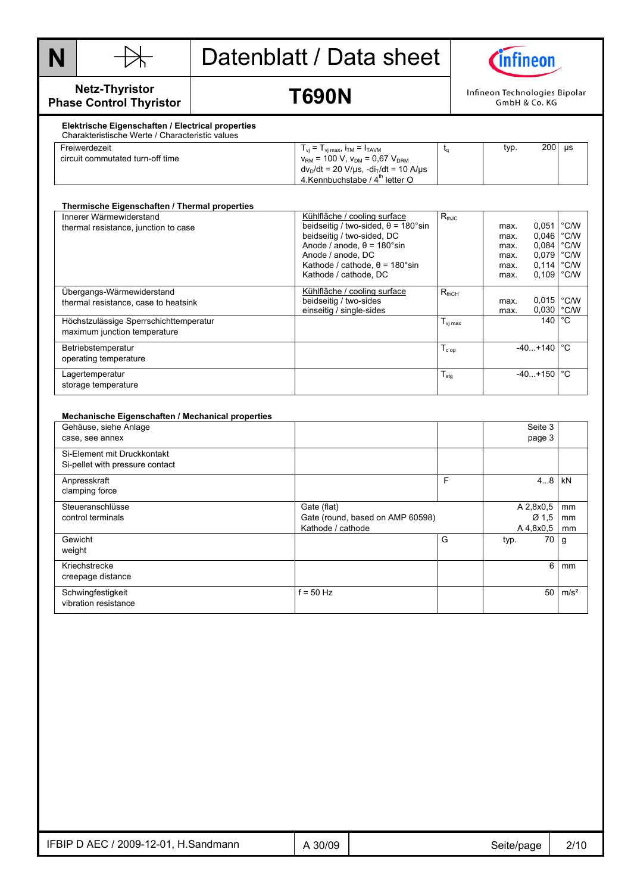



**Netz-Thyristor Phase Control Thyristor** 

### **T690N**

Infineon Technologies Bipolar GmbH & Co. KG

#### **Elektrische Eigenschaften / Electrical properties**  Charakteristische Werte / Characteristic values

| Freiwerdezeit                    | $T_{vi} = T_{vi \, max}$ , $i_{TM} = I_{TAVM}$                                | typ. | 200<br>μs |
|----------------------------------|-------------------------------------------------------------------------------|------|-----------|
| circuit commutated turn-off time | $v_{\text{RM}}$ = 100 V, $v_{\text{DM}}$ = 0.67 $V_{\text{DRM}}$              |      |           |
|                                  | $dv_D/dt = 20 \text{ V/}\mu\text{s}$ , -di $_U/dt = 10 \text{ A/}\mu\text{s}$ |      |           |
|                                  | 4. Kennbuchstabe / $4th$ letter O                                             |      |           |

| Thermische Eigenschaften / Thermal properties                          |                                                                                                                                                                                                                                      |                     |                                              |                                                                         |                                                 |
|------------------------------------------------------------------------|--------------------------------------------------------------------------------------------------------------------------------------------------------------------------------------------------------------------------------------|---------------------|----------------------------------------------|-------------------------------------------------------------------------|-------------------------------------------------|
| Innerer Wärmewiderstand<br>thermal resistance, junction to case        | Kühlfläche / cooling surface<br>beidseitig / two-sided, $\theta$ = 180°sin<br>beidseitig / two-sided, DC<br>Anode / anode, $\theta$ = 180°sin<br>Anode / anode, DC<br>Kathode / cathode, $\theta$ = 180°sin<br>Kathode / cathode, DC | $R_{thJC}$          | max.<br>max.<br>max.<br>max.<br>max.<br>max. | 0,051<br>0,046<br>0,084<br>$0.079$ $°C/W$<br>$0,114$ °C/W<br>0,109 °C/W | $\degree$ C/W<br>$\degree$ C/W<br>$\degree$ C/W |
| Übergangs-Wärmewiderstand<br>thermal resistance, case to heatsink      | Kühlfläche / cooling surface<br>beidseitig / two-sides<br>einseitig / single-sides                                                                                                                                                   | $R_{thCH}$          | max.<br>max.                                 | $0.015$ °C/W<br>$0.030$ $^{\circ}$ C/W                                  |                                                 |
| Höchstzulässige Sperrschichttemperatur<br>maximum junction temperature |                                                                                                                                                                                                                                      | $T_{\text{vi max}}$ |                                              | 140 l                                                                   | $^{\circ}$ C                                    |
| Betriebstemperatur<br>operating temperature                            |                                                                                                                                                                                                                                      | $T_{cop}$           |                                              | $-40+140$                                                               | °C                                              |
| Lagertemperatur<br>storage temperature                                 |                                                                                                                                                                                                                                      | $T_{\text{stg}}$    |                                              | $-40+150$ $\degree$ C                                                   |                                                 |

#### **Mechanische Eigenschaften / Mechanical properties**  Gehäuse, siehe Anlage case, see annex Seite 3 page 3 Si-Element mit Druckkontakt Si-pellet with pressure contact Anpresskraft clamping force F 4...8 kN **Steueranschlüsse** control terminals Gate (flat) Gate (round, based on AMP 60598) Kathode / cathode A 2,8x0,5 Ø 1,5  $\frac{A\,4,8x0,5}{70}$ mm mm mm Gewicht weight G typ. 70 g Kriechstrecke creepage distance 6 mm **Schwingfestigkeit** vibration resistance  $f = 50$  Hz  $f = 50$  m/s<sup>2</sup>

| 2009-12-01<br>∵ AEC ر<br>IFBIP<br>H.Sandmann | 30/09 | Seite/page<br>ັ | 2/10 |
|----------------------------------------------|-------|-----------------|------|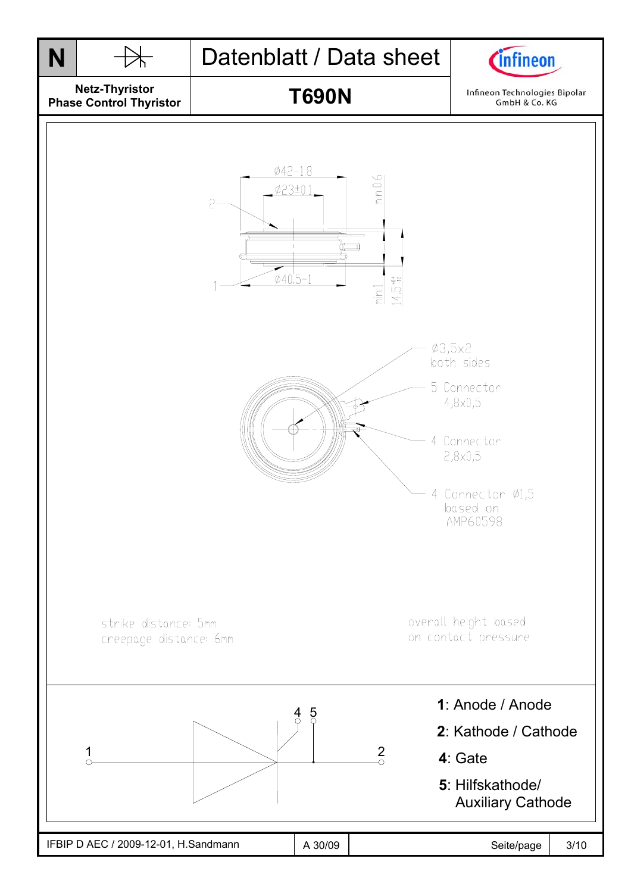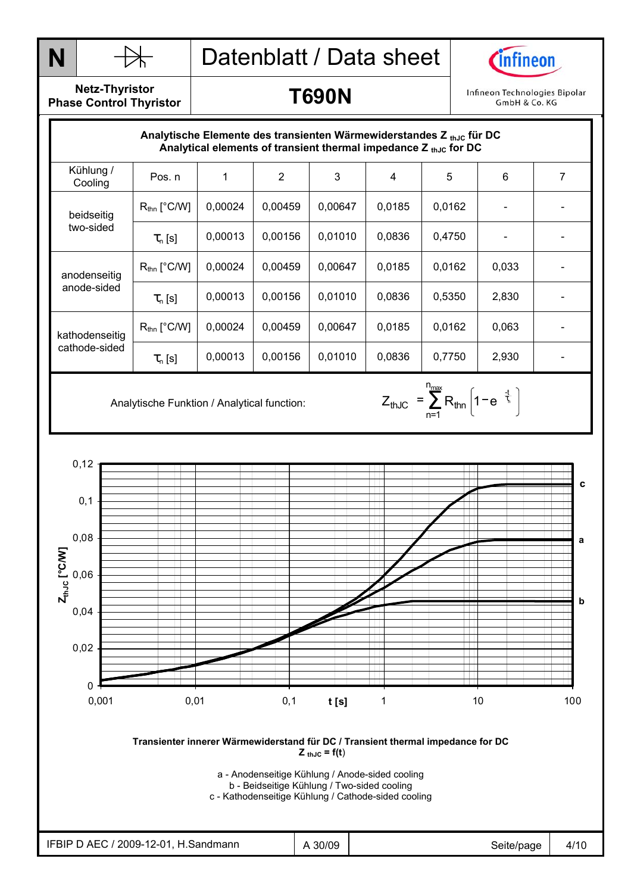



**Netz-Thyristor Phase Control Thyristor** 

| Analytische Elemente des transienten Wärmewiderstandes Z thuc für DC<br>Analytical elements of transient thermal impedance $Z_{thJC}$ for DC |                         |         |                |         |        |        |       |   |
|----------------------------------------------------------------------------------------------------------------------------------------------|-------------------------|---------|----------------|---------|--------|--------|-------|---|
| Kühlung /<br>Cooling                                                                                                                         | Pos. n                  |         | $\overline{2}$ | 3       | 4      | 5      | 6     | 7 |
| beidseitig<br>two-sided                                                                                                                      | $R_{\text{thn}}$ [°C/W] | 0,00024 | 0,00459        | 0,00647 | 0.0185 | 0,0162 |       |   |
|                                                                                                                                              | $\tau_{n}$ [s]          | 0,00013 | 0,00156        | 0,01010 | 0,0836 | 0,4750 |       |   |
| anodenseitig<br>anode-sided                                                                                                                  | $R_{\text{thn}}$ [°C/W] | 0,00024 | 0,00459        | 0,00647 | 0,0185 | 0,0162 | 0,033 |   |
|                                                                                                                                              | $\tau_{n}$ [s]          | 0,00013 | 0,00156        | 0,01010 | 0,0836 | 0,5350 | 2,830 |   |
| kathodenseitig<br>cathode-sided                                                                                                              | $R_{\text{thn}}$ [°C/W] | 0,00024 | 0,00459        | 0,00647 | 0,0185 | 0,0162 | 0,063 |   |
|                                                                                                                                              | $\tau_{n}$ [s]          | 0,00013 | 0.00156        | 0,01010 | 0,0836 | 0,7750 | 2,930 |   |

n<sub>max</sub>

n=1 thJC  $=$   $\sum$   $R_{\text{thin}}$  | 1  $-$  e  $^{-}$   $\frac{1}{2}$  $Z_{thJC} = \sum_{\text{thn}} R_{\text{thn}} \left[ 1 - e^{-\frac{t}{\tau_c}} \right]$ 

Analytische Funktion / Analytical function:  $Z_{thJC} = \sum_{n=1}^{\infty} R_{thn} \left| 1 - e^{-\frac{1}{\zeta}} \right|$ 



**Transienter innerer Wärmewiderstand für DC / Transient thermal impedance for DC**   $Z_{thJC} = f(t)$ 

a - Anodenseitige Kühlung / Anode-sided cooling

b - Beidseitige Kühlung / Two-sided cooling c - Kathodenseitige Kühlung / Cathode-sided cooling

IFBIP D AEC / 2009-12-01, H.Sandmann  $AB = 0$  A 30/09  $AB = 0$  A 30/09  $AB = 0$  Seite/page  $AB = 4/10$ 

**T690N** 

Infineon Technologies Bipolar GmbH & Co. KG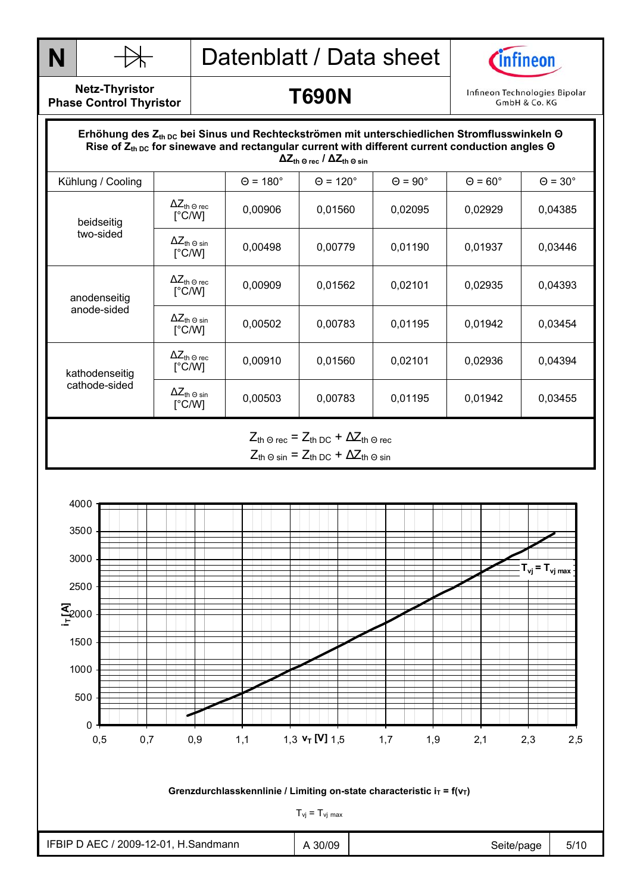



**Netz-Thyristor Phase Control Thyristor** 

#### **T690N**

Infineon Technologies Bipolar GmbH & Co. KG

#### Durchlasskennlinie  **∆Zth Θ rec / ∆Zth Θ sin** Erhöhung des Z<sub>th DC</sub> bei Sinus und Rechteckströmen mit unterschiedlichen Stromflusswinkeln Θ Rise of Z<sub>th DC</sub> for sinewave and rectangular current with different current conduction angles Θ

| Kühlung / Cooling               |                                                           | $\Theta$ = 180 $^{\circ}$ | $\Theta$ = 120 $^{\circ}$                                                             | $\Theta = 90^\circ$ | $\Theta$ = 60 $^{\circ}$ | $\Theta = 30^\circ$ |
|---------------------------------|-----------------------------------------------------------|---------------------------|---------------------------------------------------------------------------------------|---------------------|--------------------------|---------------------|
| beidseitig<br>two-sided         | $\Delta Z_{\text{th}}$ $_{\odot}$ rec<br>$[^{\circ}$ C/W] | 0,00906                   | 0,01560                                                                               | 0,02095             | 0,02929                  | 0,04385             |
|                                 | $\Delta Z_{\text{th}}$ $_{\odot}$ sin<br>$\lceil$ °C/W]   | 0,00498                   | 0,00779                                                                               | 0,01190             | 0,01937                  | 0,03446             |
| anodenseitig<br>anode-sided     | $\Delta Z_{\text{th}}$ $_{\odot}$ rec<br>$\lceil$ °C/W]   | 0,00909                   | 0,01562                                                                               | 0,02101             | 0,02935                  | 0,04393             |
|                                 | $\Delta Z_{th\;\Theta\;\sin}$<br>$[^{\circ}$ C/W]         | 0,00502                   | 0,00783                                                                               | 0,01195             | 0,01942                  | 0,03454             |
| kathodenseitig<br>cathode-sided | $\Delta Z_{\text{th}}$ $_{\odot}$ rec<br>$[^{\circ}$ C/W] | 0,00910                   | 0,01560                                                                               | 0,02101             | 0,02936                  | 0,04394             |
|                                 | $\Delta Z_{th\,\Theta\,\sin}$<br>[°C/W]                   | 0,00503                   | 0,00783                                                                               | 0,01195             | 0,01942                  | 0,03455             |
|                                 |                                                           |                           | $Z_{\text{th}}$ $\odot$ rec = $Z_{\text{th}}$ DC + $\Delta Z_{\text{th}}$ $\odot$ rec |                     |                          |                     |

 $Z_{\text{th}} \odot \text{sin} = Z_{\text{th}} \odot c + \Delta Z_{\text{th}} \odot \text{sin}$ 

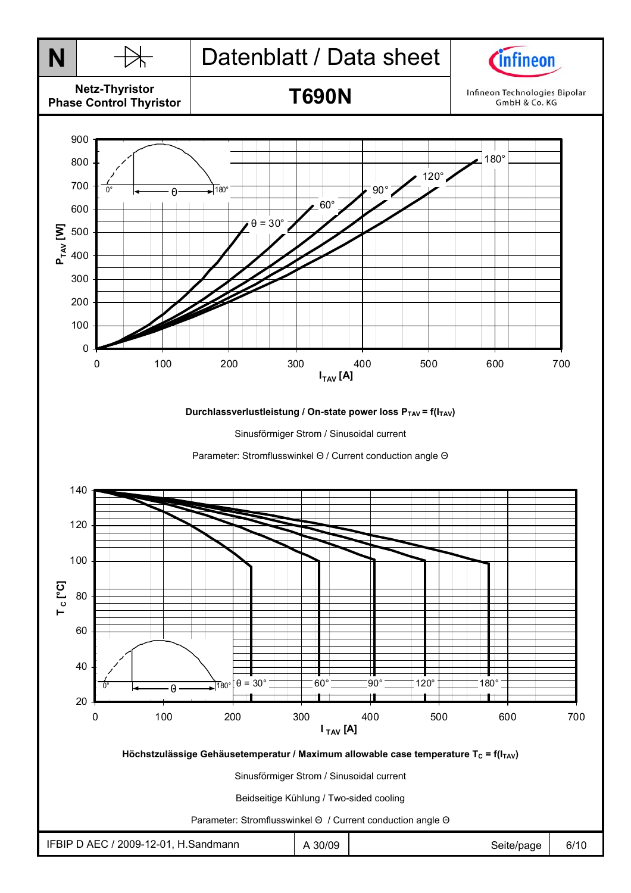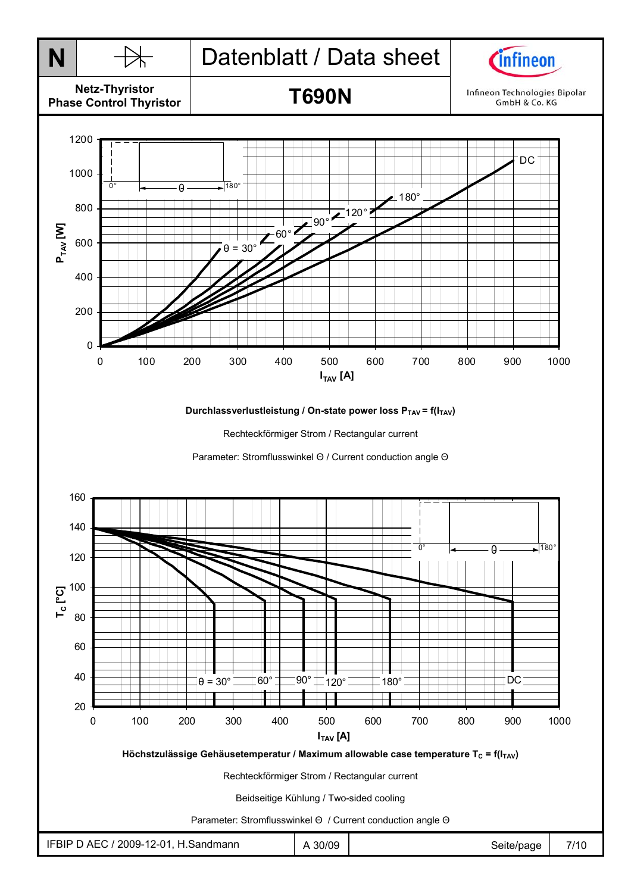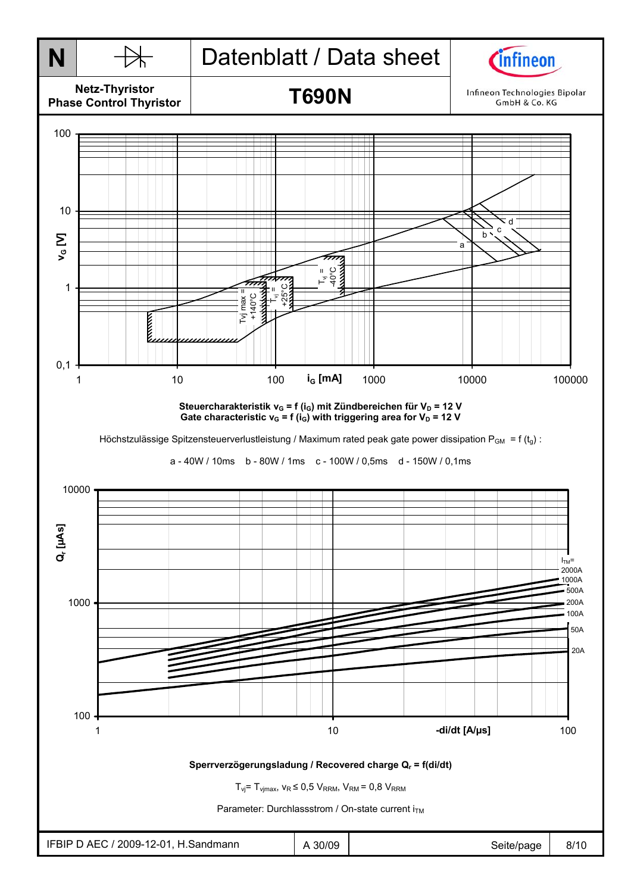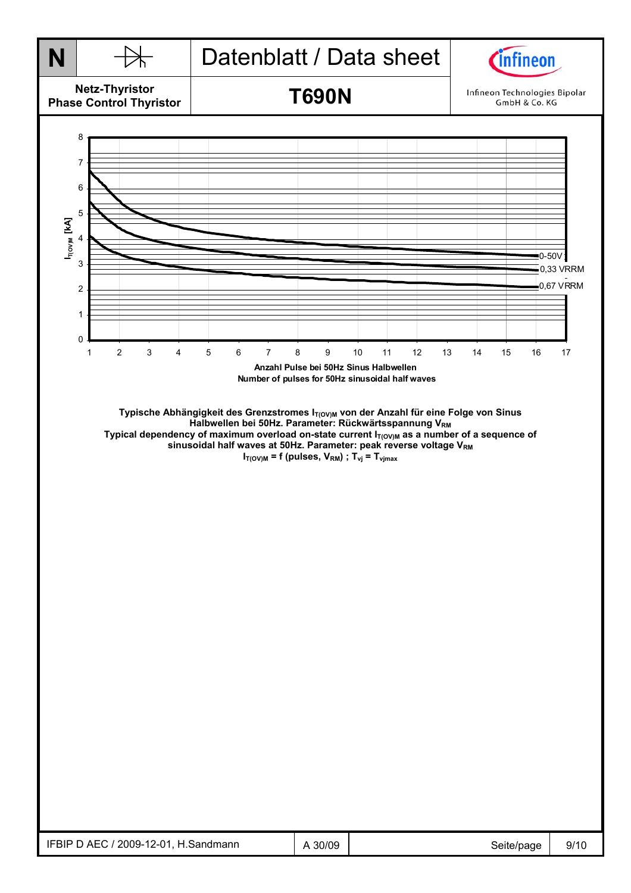